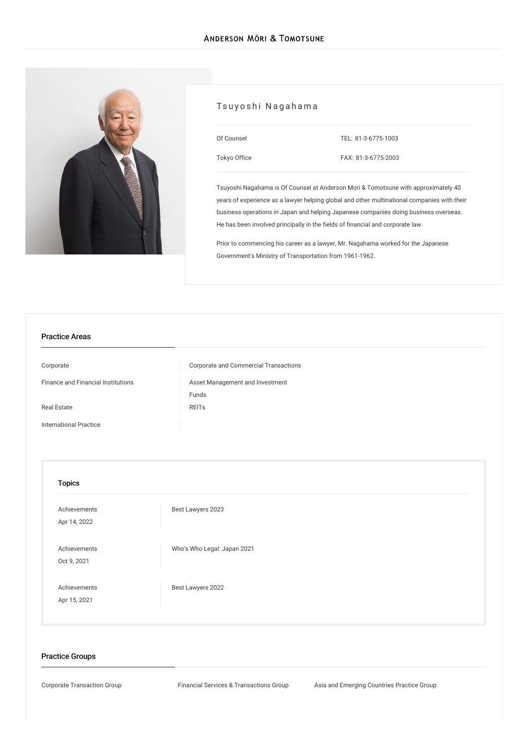

# Tsuyoshi Nagahama

| Of Counsel   | TEL: 81-3-6775-1003 |
|--------------|---------------------|
| Tokyo Office | FAX: 81-3-6775-2003 |

Tsuyoshi Nagahama is Of Counsel at Anderson Mori & Tomotsune with approximately 40 years of experience as a lawyer helping global and other multinational companies with their business operations in Japan and helping Japanese companies doing business overseas. He has been involved principally in the fields of financial and corporate law.

Prior to commencing his career as a lawyer, Mr. Nagahama worked for the Japanese Government's Ministry of Transportation from 1961-1962.

# Practice Areas

[Corporate](/en/services/practices/corporate) Corporate and Commercial [Transactions](/en/services/practices/corporate/corporate-and-commercial-transactions) Finance and Financial [Institutions](/en/services/practices/finance-and-financial-institutions) Asset [Management](/en/services/practices/finance-and-financial-institutions/asset-management-and-investment-funds) and Investment Funds Real [Estate](/en/services/practices/real-estate) Real Estate Real Estate Real Estate Real Estate Real Estate Real Estate Real Estate Real Estate Re [International](/en/services/practices/international-practice) Practice

#### Topics

| Achievements<br>Apr 14, 2022 | Best Lawyers 2023           |
|------------------------------|-----------------------------|
| Achievements<br>Oct 9, 2021  | Who's Who Legal: Japan 2021 |
| Achievements<br>Apr 15, 2021 | Best Lawyers 2022           |

#### Practice Groups